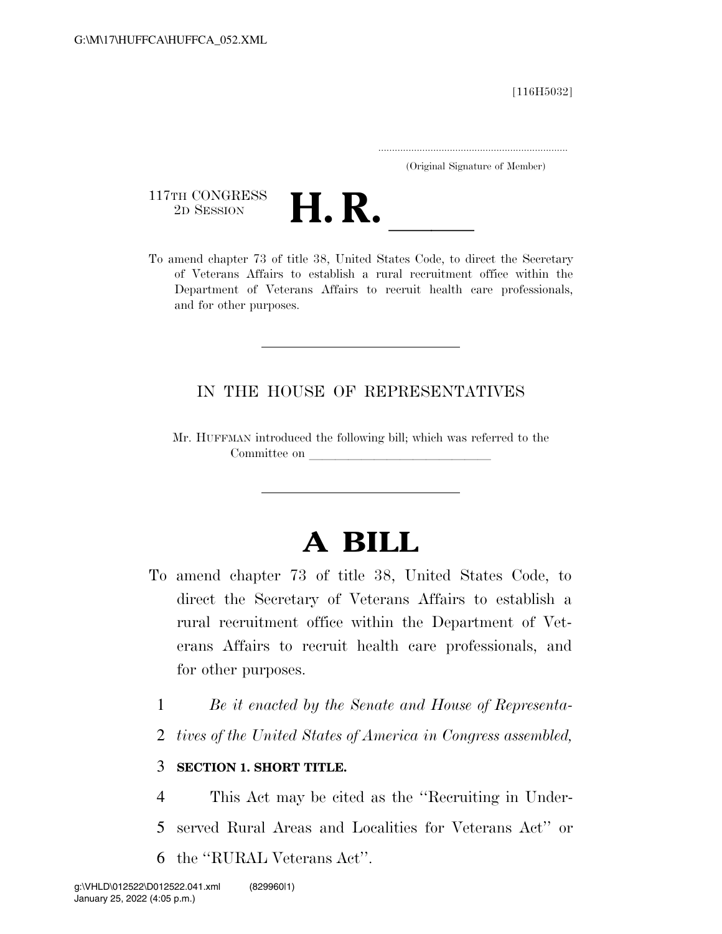[116H5032]

.....................................................................

(Original Signature of Member)

117TH CONGRESS<br>2D SESSION



117TH CONGRESS<br>
2D SESSION<br>
To amend chapter 73 of title 38, United States Code, to direct the Secretary of Veterans Affairs to establish a rural recruitment office within the Department of Veterans Affairs to recruit health care professionals, and for other purposes.

### IN THE HOUSE OF REPRESENTATIVES

Mr. HUFFMAN introduced the following bill; which was referred to the Committee on

# **A BILL**

- To amend chapter 73 of title 38, United States Code, to direct the Secretary of Veterans Affairs to establish a rural recruitment office within the Department of Veterans Affairs to recruit health care professionals, and for other purposes.
	- 1 *Be it enacted by the Senate and House of Representa-*
	- 2 *tives of the United States of America in Congress assembled,*

#### 3 **SECTION 1. SHORT TITLE.**

4 This Act may be cited as the ''Recruiting in Under-5 served Rural Areas and Localities for Veterans Act'' or 6 the ''RURAL Veterans Act''.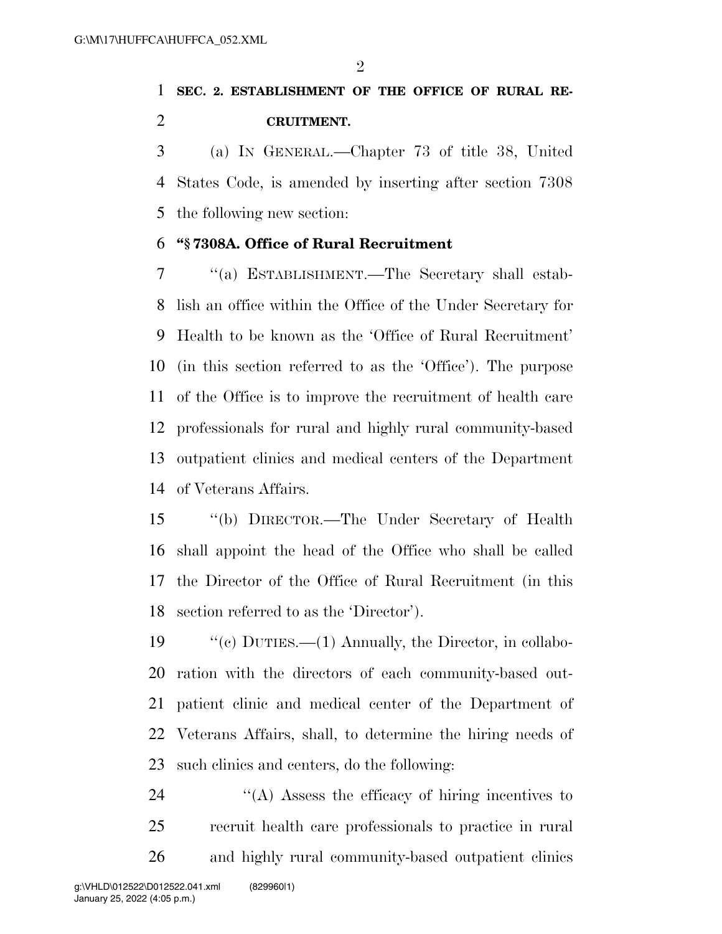$\mathfrak{D}$ 

## **SEC. 2. ESTABLISHMENT OF THE OFFICE OF RURAL RE-CRUITMENT.**

 (a) IN GENERAL.—Chapter 73 of title 38, United States Code, is amended by inserting after section 7308 the following new section:

#### **''§ 7308A. Office of Rural Recruitment**

 ''(a) ESTABLISHMENT.—The Secretary shall estab- lish an office within the Office of the Under Secretary for Health to be known as the 'Office of Rural Recruitment' (in this section referred to as the 'Office'). The purpose of the Office is to improve the recruitment of health care professionals for rural and highly rural community-based outpatient clinics and medical centers of the Department of Veterans Affairs.

 ''(b) DIRECTOR.—The Under Secretary of Health shall appoint the head of the Office who shall be called the Director of the Office of Rural Recruitment (in this section referred to as the 'Director').

 ''(c) DUTIES.—(1) Annually, the Director, in collabo- ration with the directors of each community-based out- patient clinic and medical center of the Department of Veterans Affairs, shall, to determine the hiring needs of such clinics and centers, do the following:

 ''(A) Assess the efficacy of hiring incentives to recruit health care professionals to practice in rural and highly rural community-based outpatient clinics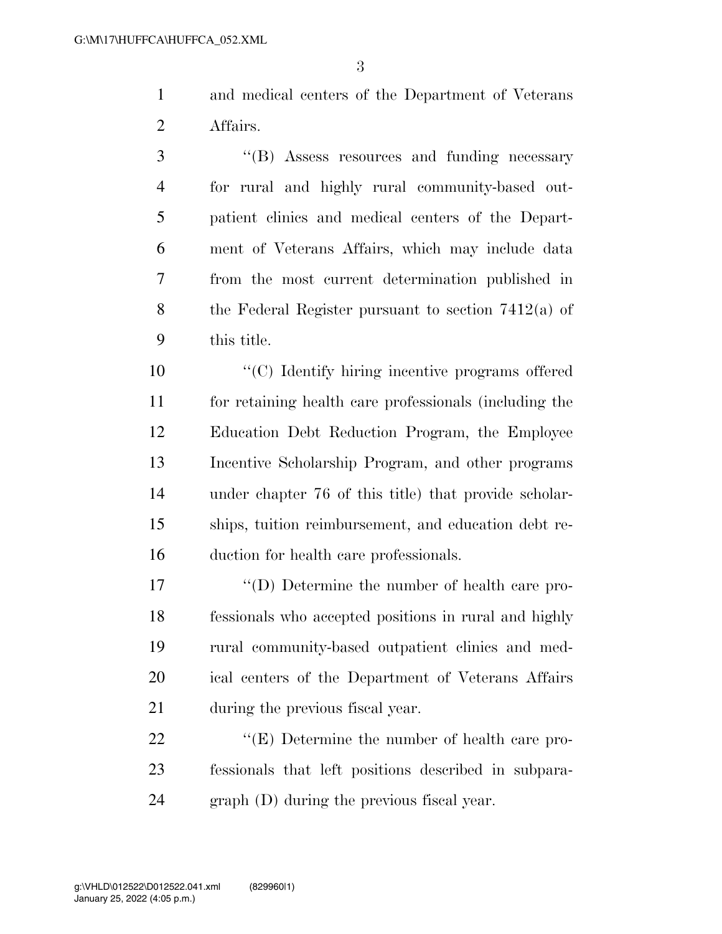and medical centers of the Department of Veterans Affairs.

3 "(B) Assess resources and funding necessary for rural and highly rural community-based out- patient clinics and medical centers of the Depart- ment of Veterans Affairs, which may include data from the most current determination published in the Federal Register pursuant to section 7412(a) of this title.

 ''(C) Identify hiring incentive programs offered for retaining health care professionals (including the Education Debt Reduction Program, the Employee Incentive Scholarship Program, and other programs under chapter 76 of this title) that provide scholar- ships, tuition reimbursement, and education debt re-duction for health care professionals.

 ''(D) Determine the number of health care pro- fessionals who accepted positions in rural and highly rural community-based outpatient clinics and med- ical centers of the Department of Veterans Affairs during the previous fiscal year.

22  $\langle E \rangle$  Determine the number of health care pro- fessionals that left positions described in subpara-graph (D) during the previous fiscal year.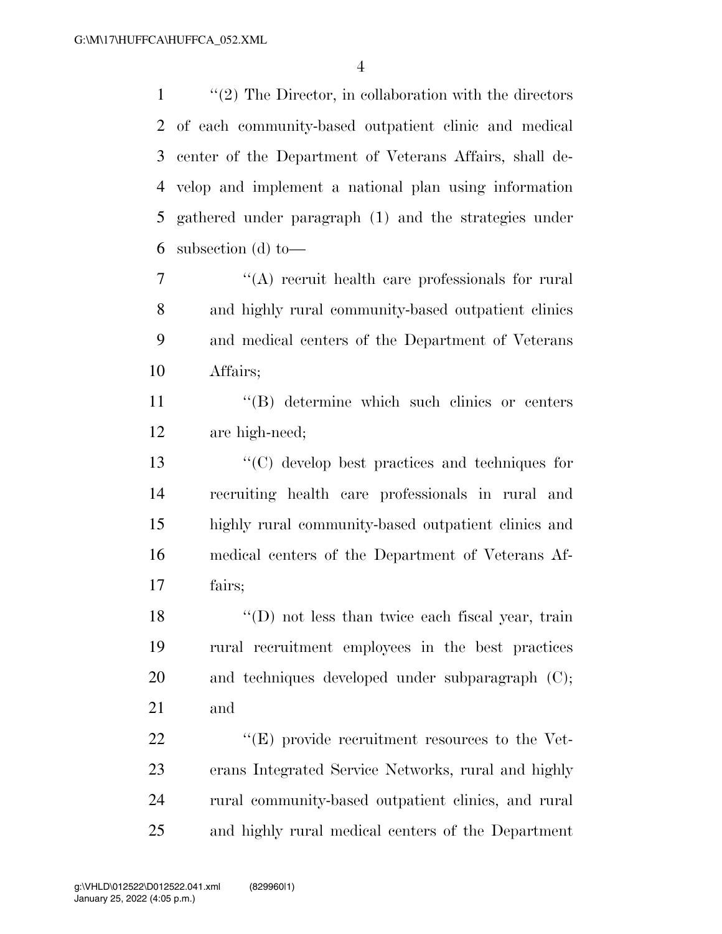1 ''(2) The Director, in collaboration with the directors of each community-based outpatient clinic and medical center of the Department of Veterans Affairs, shall de- velop and implement a national plan using information gathered under paragraph (1) and the strategies under subsection (d) to—

 ''(A) recruit health care professionals for rural and highly rural community-based outpatient clinics and medical centers of the Department of Veterans Affairs;

 ''(B) determine which such clinics or centers are high-need;

 ''(C) develop best practices and techniques for recruiting health care professionals in rural and highly rural community-based outpatient clinics and medical centers of the Department of Veterans Af-fairs;

18 ''(D) not less than twice each fiscal year, train rural recruitment employees in the best practices 20 and techniques developed under subparagraph (C); and

 $\langle E \rangle$  provide recruitment resources to the Vet- erans Integrated Service Networks, rural and highly rural community-based outpatient clinics, and rural and highly rural medical centers of the Department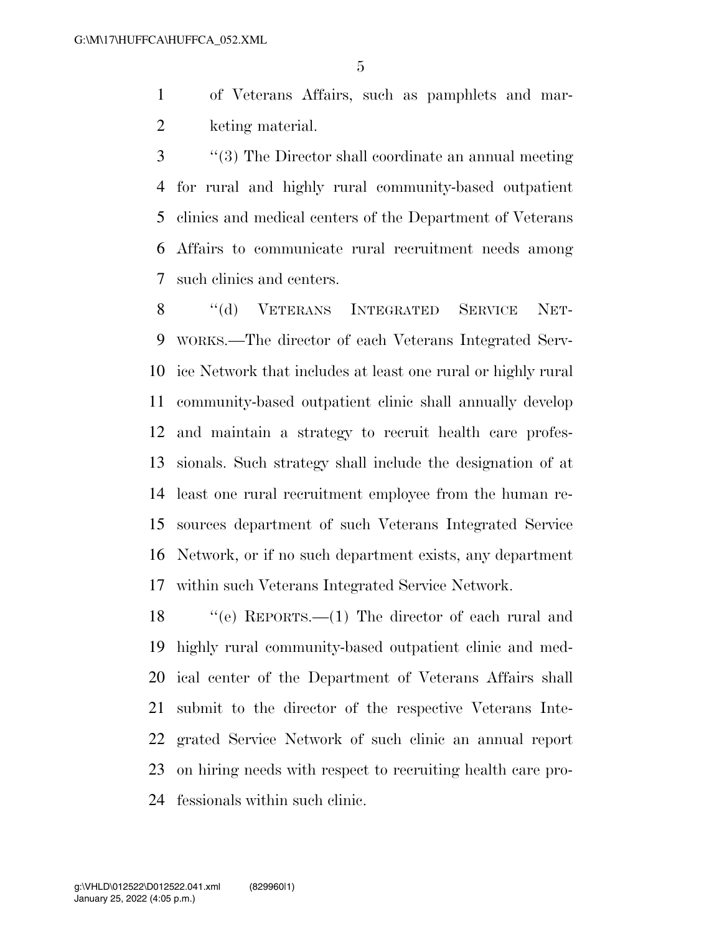of Veterans Affairs, such as pamphlets and mar-keting material.

 ''(3) The Director shall coordinate an annual meeting for rural and highly rural community-based outpatient clinics and medical centers of the Department of Veterans Affairs to communicate rural recruitment needs among such clinics and centers.

8 "(d) VETERANS INTEGRATED SERVICE NET- WORKS.—The director of each Veterans Integrated Serv- ice Network that includes at least one rural or highly rural community-based outpatient clinic shall annually develop and maintain a strategy to recruit health care profes- sionals. Such strategy shall include the designation of at least one rural recruitment employee from the human re- sources department of such Veterans Integrated Service Network, or if no such department exists, any department within such Veterans Integrated Service Network.

 ''(e) REPORTS.—(1) The director of each rural and highly rural community-based outpatient clinic and med- ical center of the Department of Veterans Affairs shall submit to the director of the respective Veterans Inte- grated Service Network of such clinic an annual report on hiring needs with respect to recruiting health care pro-fessionals within such clinic.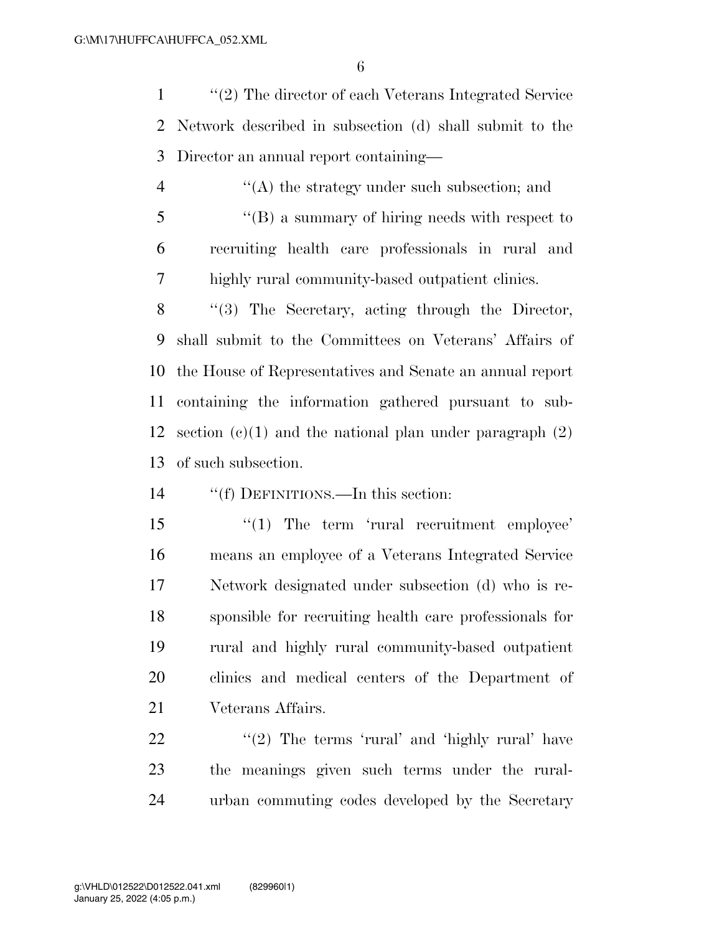''(2) The director of each Veterans Integrated Service Network described in subsection (d) shall submit to the Director an annual report containing—

 $\mathcal{L}(\mathbf{A})$  the strategy under such subsection; and ''(B) a summary of hiring needs with respect to recruiting health care professionals in rural and highly rural community-based outpatient clinics.

 ''(3) The Secretary, acting through the Director, shall submit to the Committees on Veterans' Affairs of the House of Representatives and Senate an annual report containing the information gathered pursuant to sub-12 section  $(e)(1)$  and the national plan under paragraph  $(2)$ of such subsection.

''(f) DEFINITIONS.—In this section:

15 '(1) The term 'rural recruitment employee' means an employee of a Veterans Integrated Service Network designated under subsection (d) who is re- sponsible for recruiting health care professionals for rural and highly rural community-based outpatient clinics and medical centers of the Department of Veterans Affairs.

22 "'(2) The terms 'rural' and 'highly rural' have the meanings given such terms under the rural-urban commuting codes developed by the Secretary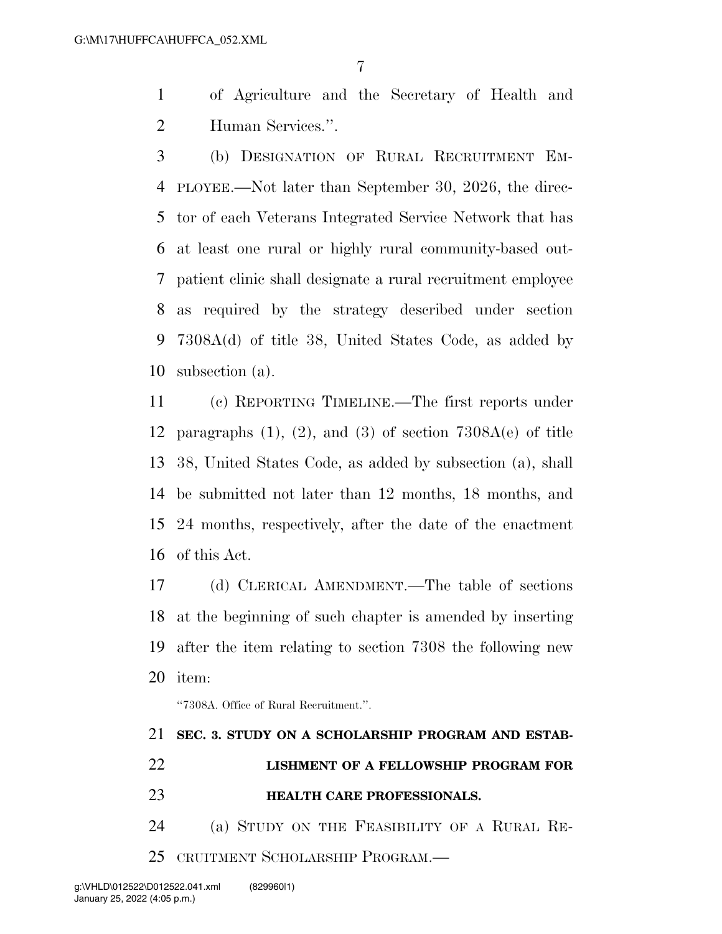- of Agriculture and the Secretary of Health and Human Services.''.
- (b) DESIGNATION OF RURAL RECRUITMENT EM- PLOYEE.—Not later than September 30, 2026, the direc- tor of each Veterans Integrated Service Network that has at least one rural or highly rural community-based out- patient clinic shall designate a rural recruitment employee as required by the strategy described under section 7308A(d) of title 38, United States Code, as added by subsection (a).

 (c) REPORTING TIMELINE.—The first reports under 12 paragraphs  $(1)$ ,  $(2)$ , and  $(3)$  of section 7308A(e) of title 38, United States Code, as added by subsection (a), shall be submitted not later than 12 months, 18 months, and 24 months, respectively, after the date of the enactment of this Act.

 (d) CLERICAL AMENDMENT.—The table of sections at the beginning of such chapter is amended by inserting after the item relating to section 7308 the following new item:

''7308A. Office of Rural Recruitment.''.

|  |  |  |  | 21 SEC. 3. STUDY ON A SCHOLARSHIP PROGRAM AND ESTAB- |  |  |  |
|--|--|--|--|------------------------------------------------------|--|--|--|
|--|--|--|--|------------------------------------------------------|--|--|--|

- **LISHMENT OF A FELLOWSHIP PROGRAM FOR HEALTH CARE PROFESSIONALS.**
- (a) STUDY ON THE FEASIBILITY OF A RURAL RE-
- CRUITMENT SCHOLARSHIP PROGRAM.—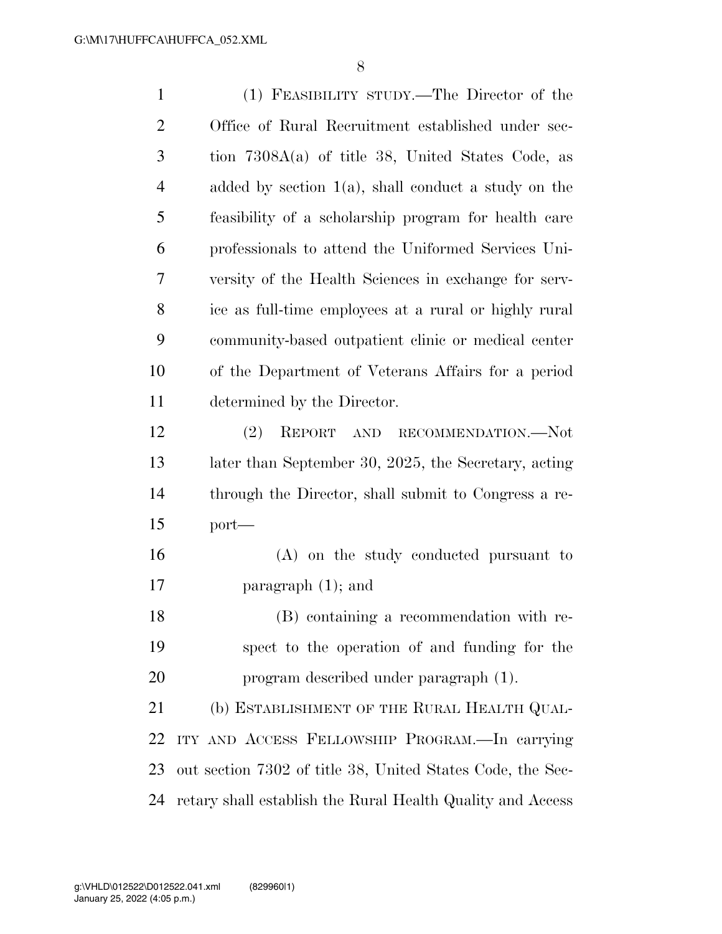| $\mathbf{1}$   | (1) FEASIBILITY STUDY.—The Director of the                 |
|----------------|------------------------------------------------------------|
| $\overline{2}$ | Office of Rural Recruitment established under sec-         |
| 3              | tion $7308A(a)$ of title 38, United States Code, as        |
| $\overline{4}$ | added by section $1(a)$ , shall conduct a study on the     |
| 5              | feasibility of a scholarship program for health care       |
| 6              | professionals to attend the Uniformed Services Uni-        |
| 7              | versity of the Health Sciences in exchange for serv-       |
| 8              | ice as full-time employees at a rural or highly rural      |
| 9              | community-based outpatient clinic or medical center        |
| 10             | of the Department of Veterans Affairs for a period         |
| 11             | determined by the Director.                                |
| 12             | (2)<br>REPORT<br>AND RECOMMENDATION.—Not                   |
| 13             | later than September 30, 2025, the Secretary, acting       |
| 14             | through the Director, shall submit to Congress a re-       |
| 15             | $port-$                                                    |
| 16             | (A) on the study conducted pursuant to                     |
| 17             | paragraph $(1)$ ; and                                      |
| 18             | (B) containing a recommendation with re-                   |
| 19             | spect to the operation of and funding for the              |
| 20             | program described under paragraph (1).                     |
| 21             | (b) ESTABLISHMENT OF THE RURAL HEALTH QUAL-                |
| 22             | ITY AND ACCESS FELLOWSHIP PROGRAM.—In carrying             |
| 23             | out section 7302 of title 38, United States Code, the Sec- |
| 24             | retary shall establish the Rural Health Quality and Access |